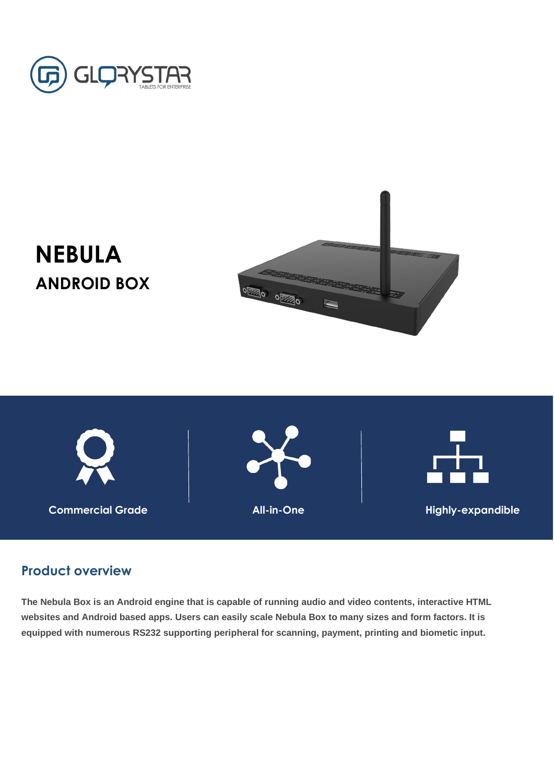

## **NEBULA ANDROID BOX**



**Product overview**

**The Nebula Box is an Android engine that is capable of running audio and video contents, interactive HTML websites and Android based apps. Users can easily scale Nebula Box to many sizes and form factors. It is equipped with numerous RS232 supporting peripheral for scanning, payment, printing and biometic input.**

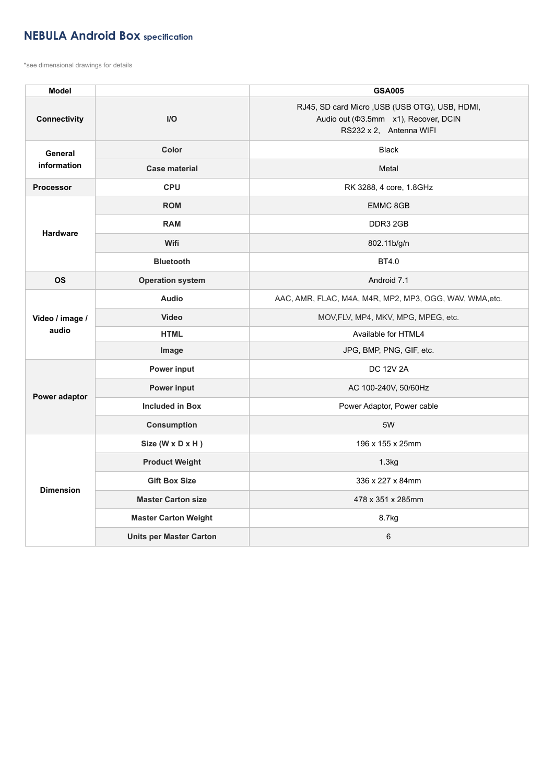## **NEBULA Android Box specification**

\*see dimensional drawings for details

| <b>Model</b>                  |                                | <b>GSA005</b>                                                                                                            |
|-------------------------------|--------------------------------|--------------------------------------------------------------------------------------------------------------------------|
| <b>Connectivity</b>           | $I/O$                          | RJ45, SD card Micro, USB (USB OTG), USB, HDMI,<br>Audio out ( $\Phi$ 3.5mm x1), Recover, DCIN<br>RS232 x 2, Antenna WIFI |
| <b>General</b><br>information | <b>Color</b>                   | <b>Black</b>                                                                                                             |
|                               | <b>Case material</b>           | Metal                                                                                                                    |
| <b>Processor</b>              | <b>CPU</b>                     | RK 3288, 4 core, 1.8GHz                                                                                                  |
| <b>Hardware</b>               | <b>ROM</b>                     | <b>EMMC 8GB</b>                                                                                                          |
|                               | <b>RAM</b>                     | DDR3 2GB                                                                                                                 |
|                               | Wifi                           | 802.11b/g/n                                                                                                              |
|                               | <b>Bluetooth</b>               | <b>BT4.0</b>                                                                                                             |
| <b>OS</b>                     | <b>Operation system</b>        | Android 7.1                                                                                                              |
| Video / image /<br>audio      | <b>Audio</b>                   | AAC, AMR, FLAC, M4A, M4R, MP2, MP3, OGG, WAV, WMA, etc.                                                                  |
|                               | <b>Video</b>                   | MOV, FLV, MP4, MKV, MPG, MPEG, etc.                                                                                      |
|                               | <b>HTML</b>                    | Available for HTML4                                                                                                      |
|                               | <b>Image</b>                   | JPG, BMP, PNG, GIF, etc.                                                                                                 |
| Power adaptor                 | <b>Power input</b>             | <b>DC 12V 2A</b>                                                                                                         |
|                               | <b>Power input</b>             | AC 100-240V, 50/60Hz                                                                                                     |
|                               | <b>Included in Box</b>         | Power Adaptor, Power cable                                                                                               |
|                               | <b>Consumption</b>             | 5W                                                                                                                       |
| <b>Dimension</b>              | Size (W x D x H)               | 196 x 155 x 25mm                                                                                                         |
|                               | <b>Product Weight</b>          | 1.3kg                                                                                                                    |
|                               | <b>Gift Box Size</b>           | 336 x 227 x 84mm                                                                                                         |
|                               | <b>Master Carton size</b>      | 478 x 351 x 285mm                                                                                                        |
|                               | <b>Master Carton Weight</b>    | 8.7kg                                                                                                                    |
|                               | <b>Units per Master Carton</b> | 6                                                                                                                        |